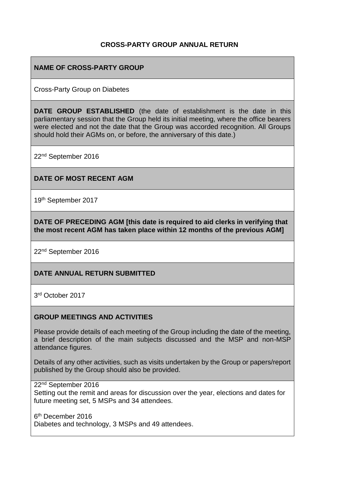## **CROSS-PARTY GROUP ANNUAL RETURN**

## **NAME OF CROSS-PARTY GROUP**

Cross-Party Group on Diabetes

**DATE GROUP ESTABLISHED** (the date of establishment is the date in this parliamentary session that the Group held its initial meeting, where the office bearers were elected and not the date that the Group was accorded recognition. All Groups should hold their AGMs on, or before, the anniversary of this date.)

22nd September 2016

### **DATE OF MOST RECENT AGM**

19th September 2017

**DATE OF PRECEDING AGM [this date is required to aid clerks in verifying that the most recent AGM has taken place within 12 months of the previous AGM]**

22nd September 2016

### **DATE ANNUAL RETURN SUBMITTED**

3 rd October 2017

### **GROUP MEETINGS AND ACTIVITIES**

Please provide details of each meeting of the Group including the date of the meeting, a brief description of the main subjects discussed and the MSP and non-MSP attendance figures.

Details of any other activities, such as visits undertaken by the Group or papers/report published by the Group should also be provided.

22<sup>nd</sup> September 2016

Setting out the remit and areas for discussion over the year, elections and dates for future meeting set, 5 MSPs and 34 attendees.

6<sup>th</sup> December 2016 Diabetes and technology, 3 MSPs and 49 attendees.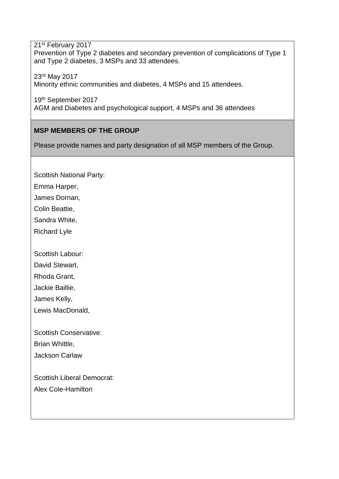21st February 2017 Prevention of Type 2 diabetes and secondary prevention of complications of Type 1 and Type 2 diabetes, 3 MSPs and 33 attendees.

23rd May 2017 Minority ethnic communities and diabetes, 4 MSPs and 15 attendees.

19th September 2017 AGM and Diabetes and psychological support, 4 MSPs and 36 attendees

# **MSP MEMBERS OF THE GROUP**

Please provide names and party designation of all MSP members of the Group.

Scottish National Party: Emma Harper,

James Dornan,

Colin Beattie,

Sandra White,

Richard Lyle

Scottish Labour:

David Stewart,

Rhoda Grant,

Jackie Baillie,

James Kelly,

Lewis MacDonald,

Scottish Conservative: Brian Whittle,

Jackson Carlaw

Scottish Liberal Democrat: Alex Cole-Hamilton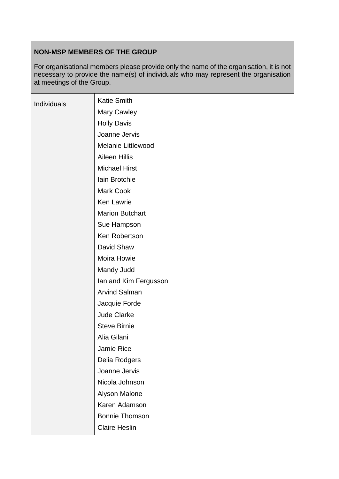# **NON-MSP MEMBERS OF THE GROUP**

For organisational members please provide only the name of the organisation, it is not necessary to provide the name(s) of individuals who may represent the organisation at meetings of the Group.

| Individuals | <b>Katie Smith</b>        |
|-------------|---------------------------|
|             | Mary Cawley               |
|             | <b>Holly Davis</b>        |
|             | Joanne Jervis             |
|             | <b>Melanie Littlewood</b> |
|             | <b>Aileen Hillis</b>      |
|             | <b>Michael Hirst</b>      |
|             | Iain Brotchie             |
|             | Mark Cook                 |
|             | <b>Ken Lawrie</b>         |
|             | <b>Marion Butchart</b>    |
|             | Sue Hampson               |
|             | Ken Robertson             |
|             | David Shaw                |
|             | Moira Howie               |
|             | Mandy Judd                |
|             | lan and Kim Fergusson     |
|             | <b>Arvind Salman</b>      |
|             | Jacquie Forde             |
|             | <b>Jude Clarke</b>        |
|             | <b>Steve Birnie</b>       |
|             | Alia Gilani               |
|             | Jamie Rice                |
|             | Delia Rodgers             |
|             | Joanne Jervis             |
|             | Nicola Johnson            |
|             | Alyson Malone             |
|             | Karen Adamson             |
|             | <b>Bonnie Thomson</b>     |
|             | <b>Claire Heslin</b>      |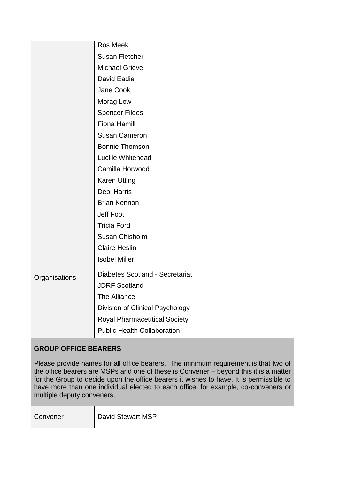|               | Ros Meek                            |
|---------------|-------------------------------------|
|               | <b>Susan Fletcher</b>               |
|               | <b>Michael Grieve</b>               |
|               | David Eadie                         |
|               | Jane Cook                           |
|               | Morag Low                           |
|               | <b>Spencer Fildes</b>               |
|               | <b>Fiona Hamill</b>                 |
|               | <b>Susan Cameron</b>                |
|               | <b>Bonnie Thomson</b>               |
|               | Lucille Whitehead                   |
|               | Camilla Horwood                     |
|               | <b>Karen Utting</b>                 |
|               | Debi Harris                         |
|               | <b>Brian Kennon</b>                 |
|               | Jeff Foot                           |
|               | <b>Tricia Ford</b>                  |
|               | Susan Chisholm                      |
|               | <b>Claire Heslin</b>                |
|               | <b>Isobel Miller</b>                |
| Organisations | Diabetes Scotland - Secretariat     |
|               | <b>JDRF Scotland</b>                |
|               | The Alliance                        |
|               | Division of Clinical Psychology     |
|               | <b>Royal Pharmaceutical Society</b> |
|               | <b>Public Health Collaboration</b>  |

# **GROUP OFFICE BEARERS**

Please provide names for all office bearers. The minimum requirement is that two of the office bearers are MSPs and one of these is Convener – beyond this it is a matter for the Group to decide upon the office bearers it wishes to have. It is permissible to have more than one individual elected to each office, for example, co-conveners or multiple deputy conveners.

Convener | David Stewart MSP